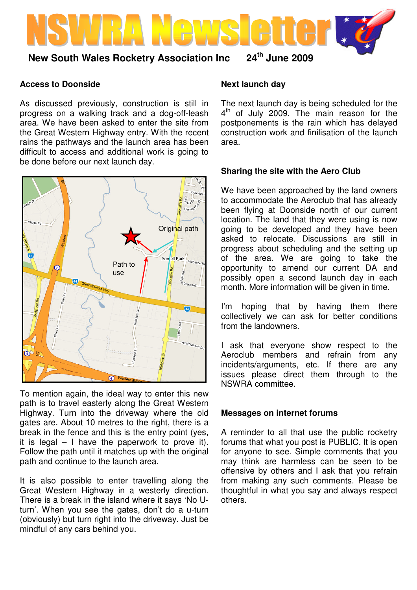

# **Access to Doonside**

As discussed previously, construction is still in progress on a walking track and a dog-off-leash area. We have been asked to enter the site from the Great Western Highway entry. With the recent rains the pathways and the launch area has been difficult to access and additional work is going to be done before our next launch day.



To mention again, the ideal way to enter this new path is to travel easterly along the Great Western Highway. Turn into the driveway where the old gates are. About 10 metres to the right, there is a break in the fence and this is the entry point (yes, it is legal  $-1$  have the paperwork to prove it). Follow the path until it matches up with the original path and continue to the launch area.

It is also possible to enter travelling along the Great Western Highway in a westerly direction. There is a break in the island where it says 'No Uturn'. When you see the gates, don't do a u-turn (obviously) but turn right into the driveway. Just be mindful of any cars behind you.

### **Next launch day**

The next launch day is being scheduled for the 4<sup>th</sup> of July 2009. The main reason for the postponements is the rain which has delayed construction work and finilisation of the launch area.

# **Sharing the site with the Aero Club**

We have been approached by the land owners to accommodate the Aeroclub that has already been flying at Doonside north of our current location. The land that they were using is now going to be developed and they have been asked to relocate. Discussions are still in progress about scheduling and the setting up of the area. We are going to take the opportunity to amend our current DA and possibly open a second launch day in each month. More information will be given in time.

I'm hoping that by having them there collectively we can ask for better conditions from the landowners.

I ask that everyone show respect to the Aeroclub members and refrain from any incidents/arguments, etc. If there are any issues please direct them through to the NSWRA committee.

### **Messages on internet forums**

A reminder to all that use the public rocketry forums that what you post is PUBLIC. It is open for anyone to see. Simple comments that you may think are harmless can be seen to be offensive by others and I ask that you refrain from making any such comments. Please be thoughtful in what you say and always respect others.